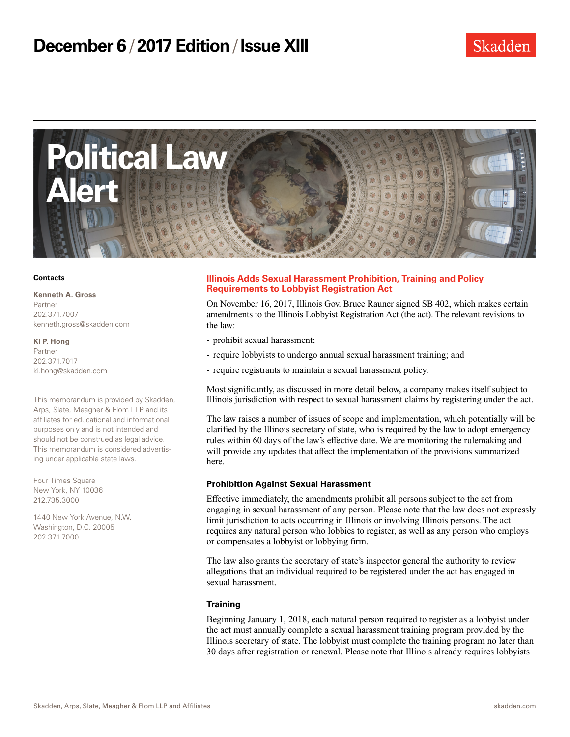

#### **Contacts**

**Kenneth A. Gross**

Partner 202.371.7007 kenneth.gross@skadden.com

**Ki P. Hong** Partner 202.371.7017 ki.hong@skadden.com

This memorandum is provided by Skadden, Arps, Slate, Meagher & Flom LLP and its affiliates for educational and informational purposes only and is not intended and should not be construed as legal advice. This memorandum is considered advertising under applicable state laws.

Four Times Square New York, NY 10036 212.735.3000

1440 New York Avenue, N.W. Washington, D.C. 20005 202.371.7000

## **Illinois Adds Sexual Harassment Prohibition, Training and Policy Requirements to Lobbyist Registration Act**

On November 16, 2017, Illinois Gov. Bruce Rauner signed SB 402, which makes certain amendments to the Illinois Lobbyist Registration Act (the act). The relevant revisions to the law:

- prohibit sexual harassment;
- require lobbyists to undergo annual sexual harassment training; and
- require registrants to maintain a sexual harassment policy.

Most significantly, as discussed in more detail below, a company makes itself subject to Illinois jurisdiction with respect to sexual harassment claims by registering under the act.

The law raises a number of issues of scope and implementation, which potentially will be clarified by the Illinois secretary of state, who is required by the law to adopt emergency rules within 60 days of the law's effective date. We are monitoring the rulemaking and will provide any updates that affect the implementation of the provisions summarized here.

### **Prohibition Against Sexual Harassment**

Effective immediately, the amendments prohibit all persons subject to the act from engaging in sexual harassment of any person. Please note that the law does not expressly limit jurisdiction to acts occurring in Illinois or involving Illinois persons. The act requires any natural person who lobbies to register, as well as any person who employs or compensates a lobbyist or lobbying firm.

The law also grants the secretary of state's inspector general the authority to review allegations that an individual required to be registered under the act has engaged in sexual harassment.

### **Training**

Beginning January 1, 2018, each natural person required to register as a lobbyist under the act must annually complete a sexual harassment training program provided by the Illinois secretary of state. The lobbyist must complete the training program no later than 30 days after registration or renewal. Please note that Illinois already requires lobbyists